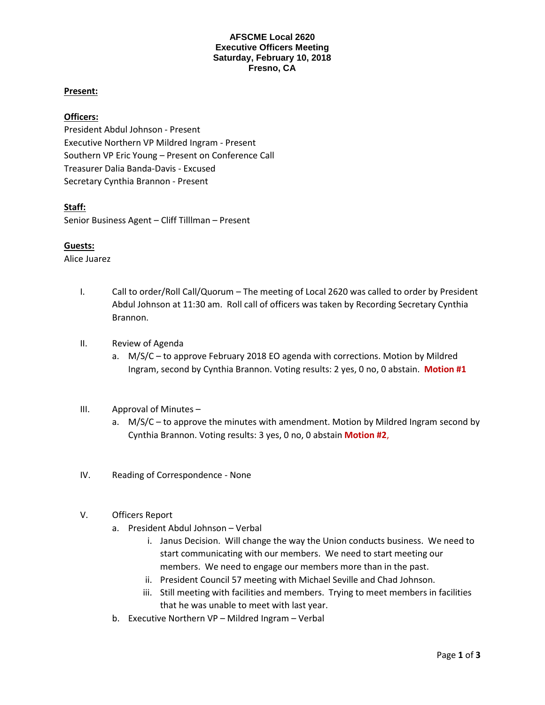#### **AFSCME Local 2620 Executive Officers Meeting Saturday, February 10, 2018 Fresno, CA**

# **Present:**

## **Officers:**

President Abdul Johnson - Present Executive Northern VP Mildred Ingram - Present Southern VP Eric Young – Present on Conference Call Treasurer Dalia Banda-Davis - Excused Secretary Cynthia Brannon - Present

## **Staff:**

Senior Business Agent – Cliff Tilllman – Present

## **Guests:**

Alice Juarez

- I. Call to order/Roll Call/Quorum The meeting of Local 2620 was called to order by President Abdul Johnson at 11:30 am. Roll call of officers was taken by Recording Secretary Cynthia Brannon.
- II. Review of Agenda
	- a. M/S/C to approve February 2018 EO agenda with corrections. Motion by Mildred Ingram, second by Cynthia Brannon. Voting results: 2 yes, 0 no, 0 abstain. **Motion #1**
- III. Approval of Minutes
	- a. M/S/C to approve the minutes with amendment. Motion by Mildred Ingram second by Cynthia Brannon. Voting results: 3 yes, 0 no, 0 abstain **Motion #2**,
- IV. Reading of Correspondence None
- V. Officers Report
	- a. President Abdul Johnson Verbal
		- i. Janus Decision. Will change the way the Union conducts business. We need to start communicating with our members. We need to start meeting our members. We need to engage our members more than in the past.
		- ii. President Council 57 meeting with Michael Seville and Chad Johnson.
		- iii. Still meeting with facilities and members. Trying to meet members in facilities that he was unable to meet with last year.
	- b. Executive Northern VP Mildred Ingram Verbal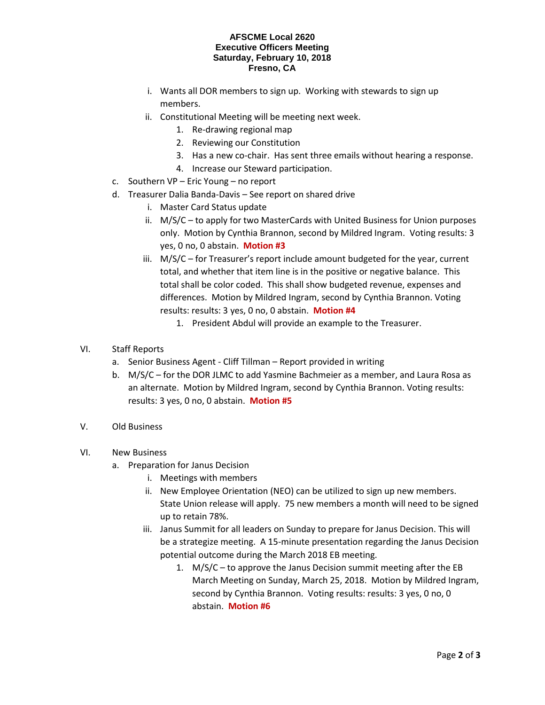#### **AFSCME Local 2620 Executive Officers Meeting Saturday, February 10, 2018 Fresno, CA**

- i. Wants all DOR members to sign up. Working with stewards to sign up members.
- ii. Constitutional Meeting will be meeting next week.
	- 1. Re-drawing regional map
	- 2. Reviewing our Constitution
	- 3. Has a new co-chair. Has sent three emails without hearing a response.
	- 4. Increase our Steward participation.
- c. Southern VP Eric Young no report
- d. Treasurer Dalia Banda-Davis See report on shared drive
	- i. Master Card Status update
	- ii. M/S/C to apply for two MasterCards with United Business for Union purposes only. Motion by Cynthia Brannon, second by Mildred Ingram. Voting results: 3 yes, 0 no, 0 abstain. **Motion #3**
	- iii. M/S/C for Treasurer's report include amount budgeted for the year, current total, and whether that item line is in the positive or negative balance. This total shall be color coded. This shall show budgeted revenue, expenses and differences. Motion by Mildred Ingram, second by Cynthia Brannon. Voting results: results: 3 yes, 0 no, 0 abstain. **Motion #4** 
		- 1. President Abdul will provide an example to the Treasurer.
- VI. Staff Reports
	- a. Senior Business Agent Cliff Tillman Report provided in writing
	- b. M/S/C for the DOR JLMC to add Yasmine Bachmeier as a member, and Laura Rosa as an alternate. Motion by Mildred Ingram, second by Cynthia Brannon. Voting results: results: 3 yes, 0 no, 0 abstain. **Motion #5**
- V. Old Business
- VI. New Business
	- a. Preparation for Janus Decision
		- i. Meetings with members
		- ii. New Employee Orientation (NEO) can be utilized to sign up new members. State Union release will apply. 75 new members a month will need to be signed up to retain 78%.
		- iii. Janus Summit for all leaders on Sunday to prepare for Janus Decision. This will be a strategize meeting. A 15-minute presentation regarding the Janus Decision potential outcome during the March 2018 EB meeting.
			- 1. M/S/C to approve the Janus Decision summit meeting after the EB March Meeting on Sunday, March 25, 2018. Motion by Mildred Ingram, second by Cynthia Brannon. Voting results: results: 3 yes, 0 no, 0 abstain. **Motion #6**